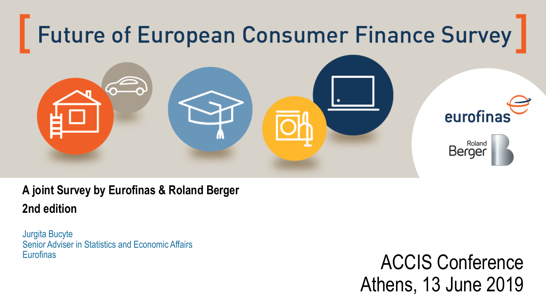

#### **A joint Survey by Eurofinas & Roland Berger 2nd edition**

Jurgita Bucyte Senior Adviser in Statistics and Economic Affairs **Eurofinas** 

ACCIS Conference Athens, 13 June 2019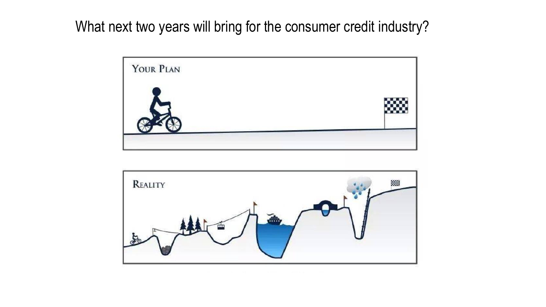What next two years will bring for the consumer credit industry?



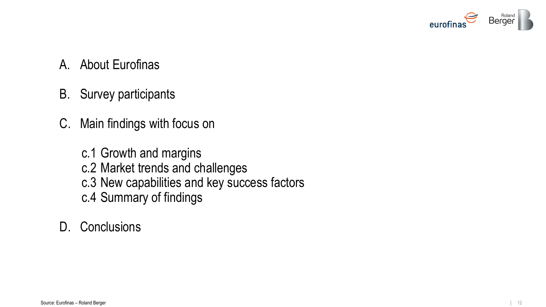

- A. About Eurofinas
- B. Survey participants
- C. Main findings with focus on
	- c.1 Growth and margins c.2 Market trends and challenges c.3 New capabilities and key success factors c.4 Summary of findings

#### D. Conclusions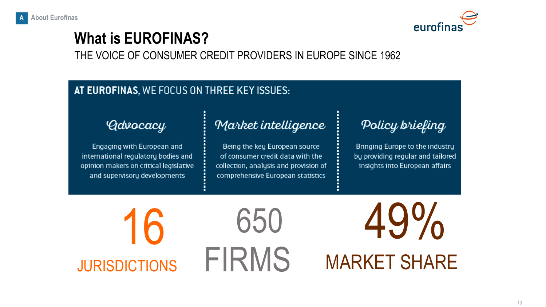

# **What is EUROFINAS?**

THE VOICE OF CONSUMER CREDIT PROVIDERS IN EUROPE SINCE 1962

#### AT EUROFINAS, WE FOCUS ON THREE KEY ISSUES:

#### *Advocacy*

Engaging with European and international regulatory bodies and opinion makers on critical legislative and supervisory developments

#### Market intelligence

Being the key European source of consumer credit data with the collection, analysis and provision of comprehensive European statistics

Policy briefing

Bringing Europe to the industry by providing regular and tailored insights into European affairs

16 JURISDICTIONS 650 FIRMS 49% MARKET SHARE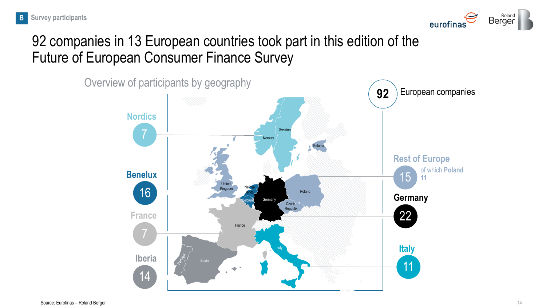

## 92 companies in 13 European countries took part in this edition of the Future of European Consumer Finance Survey

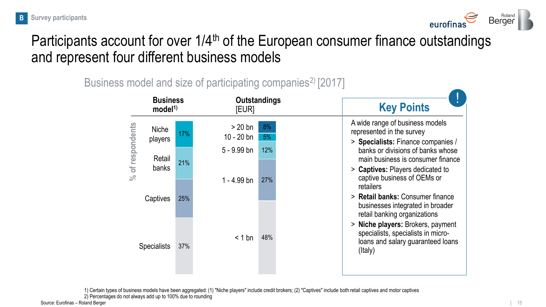

#### Participants account for over 1/4<sup>th</sup> of the European consumer finance outstandings and represent four different business models

| <b>Business</b><br>model <sup>1</sup> |     | <b>Outstandings</b><br>[EUR] |            | <b>Key Points</b>                                                                                                                         |
|---------------------------------------|-----|------------------------------|------------|-------------------------------------------------------------------------------------------------------------------------------------------|
| <b>Niche</b><br>players               | 17% | $> 20$ bn<br>$10 - 20$ bn    | 8%<br>5%   | A wide range of business models<br>represented in the survey<br>> Specialists: Finance companies /                                        |
| % of respondents<br>Retail<br>banks   | 21% | 5 - 9.99 bn<br>$1 - 4.99$ bn | 12%<br>27% | banks or divisions of banks whose<br>main business is consumer finance<br>> Captives: Players dedicated to<br>captive business of OEMs or |
| Captives                              | 25% |                              |            | retailers<br>> Retail banks: Consumer finance<br>businesses integrated in broader<br>retail banking organizations                         |
| <b>Specialists</b>                    | 37% | $< 1$ bn                     | 48%        | > Niche players: Brokers, payment<br>specialists, specialists in micro-<br>loans and salary guaranteed loans<br>(Italy)                   |

Business model and size of participating companies<sup>2)</sup> [2017]

1) Certain types of business models have been aggregated: (1) "Niche players" include credit brokers; (2) "Captives" include both retail captives and motor captives 2) Percentages do not always add up to 100% due to rounding

Source: Eurofinas – Roland Berger 15 15 15 16 16 17 17 17 17 17 17 17 18 18 19 19 19 19 19 19 19 19 19 19 19 1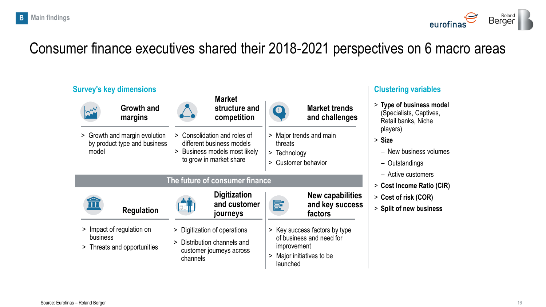

### Consumer finance executives shared their 2018-2021 perspectives on 6 macro areas

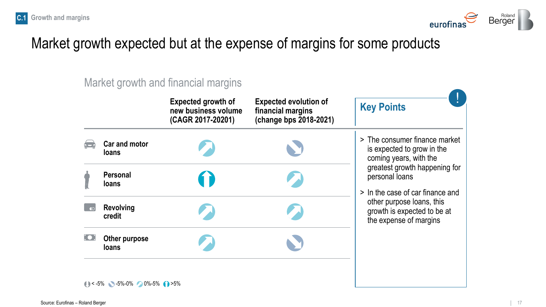

### Market growth expected but at the expense of margins for some products

Market growth and financial margins

|                               | <b>Expected growth of</b><br>new business volume<br>(CAGR 2017-20201) | <b>Expected evolution of</b><br>financial margins<br>(change bps 2018-2021) | <b>Key Points</b>                                                                     |  |  |
|-------------------------------|-----------------------------------------------------------------------|-----------------------------------------------------------------------------|---------------------------------------------------------------------------------------|--|--|
| Car and motor<br><b>loans</b> |                                                                       |                                                                             | > The consumer finance market<br>is expected to grow in the<br>coming years, with the |  |  |
| <b>Personal</b><br>loans      |                                                                       |                                                                             | greatest growth happening for<br>personal loans<br>> In the case of car finance and   |  |  |
| <b>Revolving</b><br>credit    |                                                                       |                                                                             | other purpose loans, this<br>growth is expected to be at<br>the expense of margins    |  |  |
| Other purpose<br><b>loans</b> |                                                                       |                                                                             |                                                                                       |  |  |

 $(1)$  < -5%  $\sim$  -5%-0%  $\sim$  0%-5% (1) >5%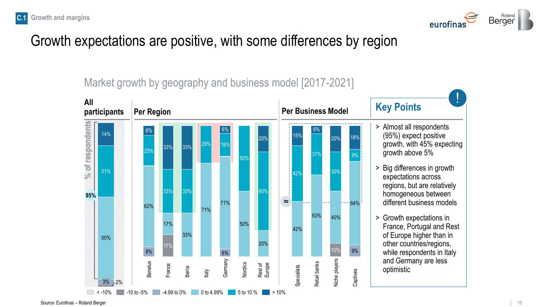



#### Growth expectations are positive, with some differences by region

Market growth by geography and business model [2017-2021]

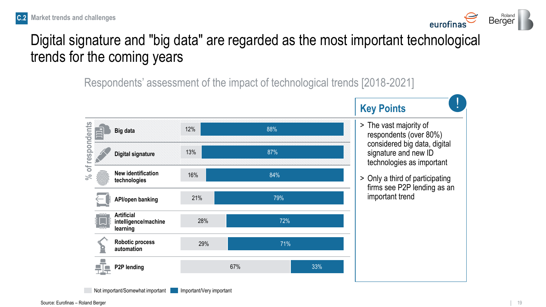





### Digital signature and "big data" are regarded as the most important technological trends for the coming years

Respondents' assessment of the impact of technological trends [2018-2021]

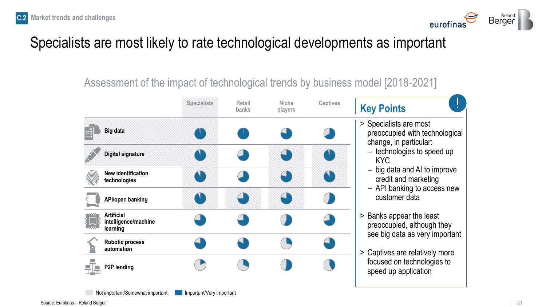

## Specialists are most likely to rate technological developments as important

Assessment of the impact of technological trends by business model [2018-2021]

|                                                                | <b>Specialists</b> | Retail<br>banks | <b>Niche</b><br>players | <b>Captives</b> | <b>Key Points</b>                                                                        |
|----------------------------------------------------------------|--------------------|-----------------|-------------------------|-----------------|------------------------------------------------------------------------------------------|
| <b>Big data</b>                                                |                    |                 |                         |                 | > Specialists are most<br>preoccupied with technological<br>change, in particular:       |
| <b>Digital signature</b>                                       |                    |                 |                         |                 | - technologies to speed up<br>KYC                                                        |
| <b>New identification</b><br>technologies                      |                    |                 |                         |                 | - big data and AI to improve<br>credit and marketing<br>- API banking to access new      |
| <b>API/open banking</b>                                        |                    |                 |                         |                 | customer data                                                                            |
| <b>Artificial</b><br>E LIB<br>intelligence/machine<br>learning |                    |                 |                         |                 | > Banks appear the least<br>preoccupied, although they<br>see big data as very important |
| Robotic process<br>automation                                  |                    |                 |                         |                 | > Captives are relatively more                                                           |
| P2P lending                                                    |                    |                 |                         |                 | focused on technologies to<br>speed up application                                       |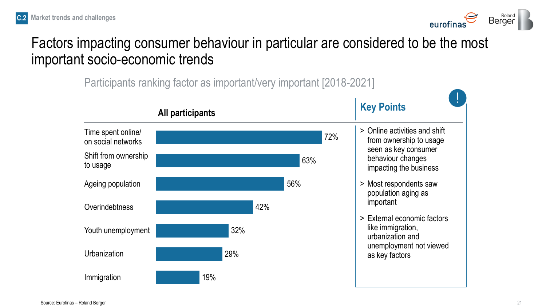

#### Factors impacting consumer behaviour in particular are considered to be the most important socio-economic trends

Participants ranking factor as important/very important [2018-2021]

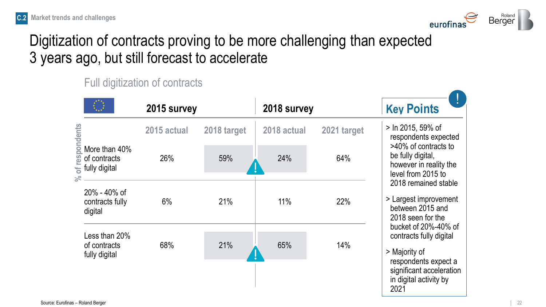

## Digitization of contracts proving to be more challenging than expected 3 years ago, but still forecast to accelerate

Full digitization of contracts

|                                                                                         | 2015 survey |             | 2018 survey |             | <b>Key Points</b>                                                                                                                                      |
|-----------------------------------------------------------------------------------------|-------------|-------------|-------------|-------------|--------------------------------------------------------------------------------------------------------------------------------------------------------|
|                                                                                         | 2015 actual | 2018 target | 2018 actual | 2021 target | > In 2015, 59% of<br>respondents expected                                                                                                              |
| respondents<br>More than 40%<br>of contracts<br>fully digital<br>$\overline{5}$<br>$\%$ | 26%         | 59%         | 24%         | 64%         | >40% of contracts to<br>be fully digital,<br>however in reality the<br>level from 2015 to                                                              |
| 20% - 40% of<br>contracts fully<br>digital                                              | 6%          | 21%         | 11%         | 22%         | 2018 remained stable<br>> Largest improvement<br>between 2015 and<br>2018 seen for the                                                                 |
| Less than 20%<br>of contracts<br>fully digital                                          | 68%         | 21%         | 65%         | 14%         | bucket of 20%-40% of<br>contracts fully digital<br>> Majority of<br>respondents expect a<br>significant acceleration<br>in digital activity by<br>2021 |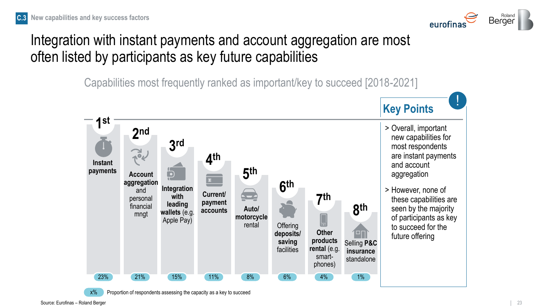

#### Integration with instant payments and account aggregation are most often listed by participants as key future capabilities

Capabilities most frequently ranked as important/key to succeed [2018-2021]





 $x\%$  Proportion of respondents assessing the capacity as a key to succeed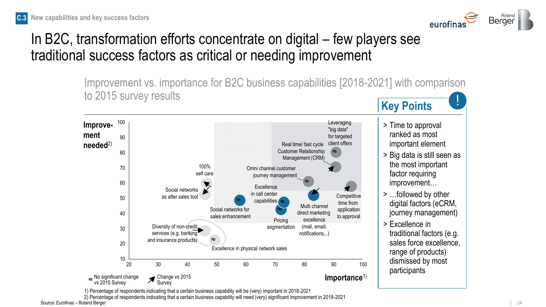

### In B2C, transformation efforts concentrate on digital – few players see traditional success factors as critical or needing improvement

**Key Points** Improvement vs. importance for B2C business capabilities [2018-2021] with comparison to 2015 survey results



1) Percentage of respondents indicating that a certain business capability will be (very) important in 2018-2021

Source: Eurofinas – Roland Berger 24 Processes 24 Processes 24 Processes 24 Processes 24 Processes 24 Processes 2) Percentage of respondents indicating that a certain business capability will need (very) significant improvement in 2018-2021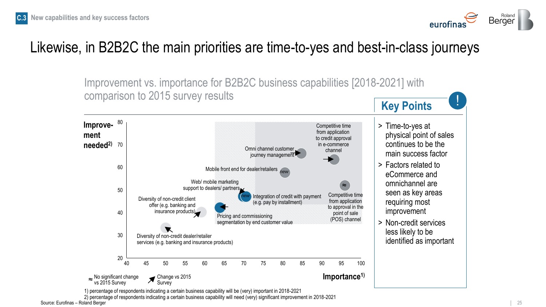



#### Likewise, in B2B2C the main priorities are time-to-yes and best-in-class journeys



Source: Eurofinas – Roland Berger 25 Persent Control of the Control of the Control of the Control of the Control of the Control of the Control of the Control of the Control of the Control of the Control of the Control of t 2) percentage of respondents indicating a certain business capability will need (very) significant improvement in 2018-2021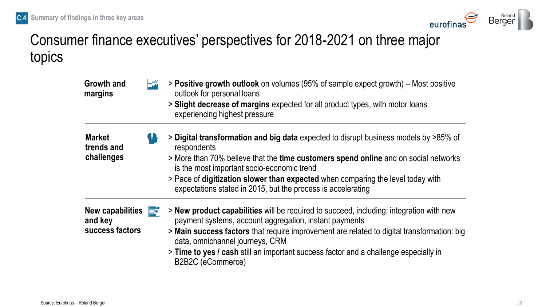

### Consumer finance executives' perspectives for 2018-2021 on three major topics

| <b>Growth and</b><br>margins             | $\mathsf{I}\mathsf{M}\mathsf{M}$ | > Positive growth outlook on volumes (95% of sample expect growth) – Most positive<br>outlook for personal loans<br>> Slight decrease of margins expected for all product types, with motor loans |
|------------------------------------------|----------------------------------|---------------------------------------------------------------------------------------------------------------------------------------------------------------------------------------------------|
|                                          |                                  | experiencing highest pressure                                                                                                                                                                     |
| <b>Market</b><br>trends and              |                                  | > Digital transformation and big data expected to disrupt business models by >85% of<br>respondents                                                                                               |
| challenges                               |                                  | > More than 70% believe that the time customers spend online and on social networks<br>is the most important socio-economic trend                                                                 |
|                                          |                                  | > Pace of digitization slower than expected when comparing the level today with<br>expectations stated in 2015, but the process is accelerating                                                   |
| New capabilities $\mathbf{F}$<br>and key |                                  | > New product capabilities will be required to succeed, including: integration with new<br>payment systems, account aggregation, instant payments                                                 |
| success factors                          |                                  | > Main success factors that require improvement are related to digital transformation: big<br>data, omnichannel journeys, CRM                                                                     |
|                                          |                                  | > Time to yes / cash still an important success factor and a challenge especially in<br>B2B2C (eCommerce)                                                                                         |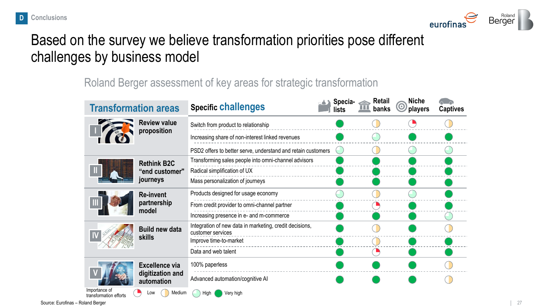

#### Based on the survey we believe transformation priorities pose different challenges by business model

#### Roland Berger assessment of key areas for strategic transformation

| <b>Transformation areas</b>             |                                          | <b>Specific challenges</b>                                                   | Specia- $\triangle$<br>lists | <b>Retail</b><br>banks | <b>Niche</b><br>$\mathbf C$<br>players | <b>Captives</b> |
|-----------------------------------------|------------------------------------------|------------------------------------------------------------------------------|------------------------------|------------------------|----------------------------------------|-----------------|
|                                         | <b>Review value</b>                      | Switch from product to relationship                                          |                              |                        |                                        |                 |
|                                         | proposition                              | Increasing share of non-interest linked revenues                             |                              |                        |                                        |                 |
|                                         |                                          | PSD2 offers to better serve, understand and retain customers                 |                              |                        |                                        |                 |
|                                         | <b>Rethink B2C</b>                       | Transforming sales people into omni-channel advisors                         |                              |                        |                                        |                 |
|                                         | "end customer"                           | Radical simplification of UX                                                 |                              |                        |                                        |                 |
|                                         | journeys                                 | Mass personalization of journeys                                             |                              |                        |                                        |                 |
|                                         | <b>Re-invent</b><br>partnership<br>model | Products designed for usage economy                                          |                              |                        |                                        |                 |
|                                         |                                          | From credit provider to omni-channel partner                                 |                              |                        |                                        |                 |
|                                         |                                          | Increasing presence in e- and m-commerce                                     |                              |                        |                                        |                 |
|                                         | <b>Build new data</b>                    | Integration of new data in marketing, credit decisions,<br>customer services |                              |                        |                                        |                 |
|                                         | <b>skills</b>                            | Improve time-to-market                                                       |                              |                        |                                        |                 |
|                                         |                                          | Data and web talent                                                          |                              |                        |                                        |                 |
|                                         | <b>Excellence via</b>                    | 100% paperless                                                               |                              |                        |                                        |                 |
|                                         | digitization and<br>automation           | Advanced automation/cognitive AI                                             |                              |                        |                                        |                 |
| Importance of<br>transformation efforts | Medium<br>Low                            | High<br>Very high                                                            |                              |                        |                                        |                 |

Source: Eurofinas – Roland Berger 27 Page 1996 and September 27 Page 27 Page 27 Page 27 Page 27 Page 27 Page 27 Page 27 Page 27 Page 27 Page 27 Page 27 Page 27 Page 27 Page 27 Page 27 Page 27 Page 27 Page 27 Page 28 Page 2